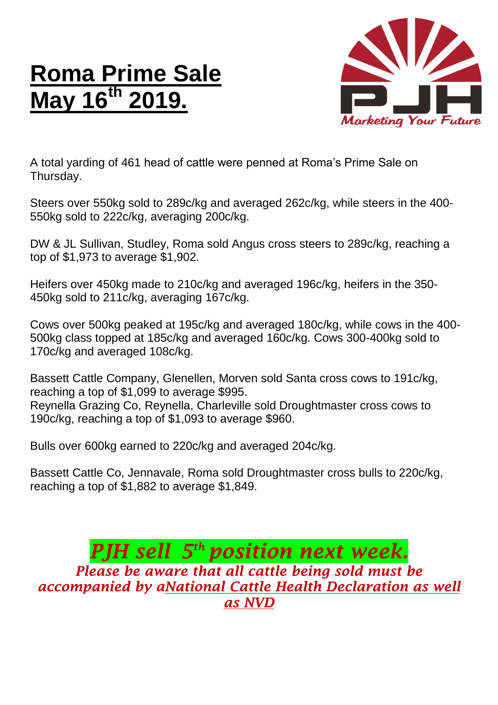## **Roma Prime Sale May 16 th 2019.**



A total yarding of 461 head of cattle were penned at Roma's Prime Sale on Thursday.

Steers over 550kg sold to 289c/kg and averaged 262c/kg, while steers in the 400- 550kg sold to 222c/kg, averaging 200c/kg.

DW & JL Sullivan, Studley, Roma sold Angus cross steers to 289c/kg, reaching a top of \$1,973 to average \$1,902.

Heifers over 450kg made to 210c/kg and averaged 196c/kg, heifers in the 350- 450kg sold to 211c/kg, averaging 167c/kg.

Cows over 500kg peaked at 195c/kg and averaged 180c/kg, while cows in the 400- 500kg class topped at 185c/kg and averaged 160c/kg. Cows 300-400kg sold to 170c/kg and averaged 108c/kg.

Bassett Cattle Company, Glenellen, Morven sold Santa cross cows to 191c/kg, reaching a top of \$1,099 to average \$995. Reynella Grazing Co, Reynella, Charleville sold Droughtmaster cross cows to 190c/kg, reaching a top of \$1,093 to average \$960.

Bulls over 600kg earned to 220c/kg and averaged 204c/kg.

Bassett Cattle Co, Jennavale, Roma sold Droughtmaster cross bulls to 220c/kg, reaching a top of \$1,882 to average \$1,849.

## *PJH sell 5 th position next week. Please be aware that all cattle being sold must be accompanied by aNational Cattle Health Declaration as well as NVD*